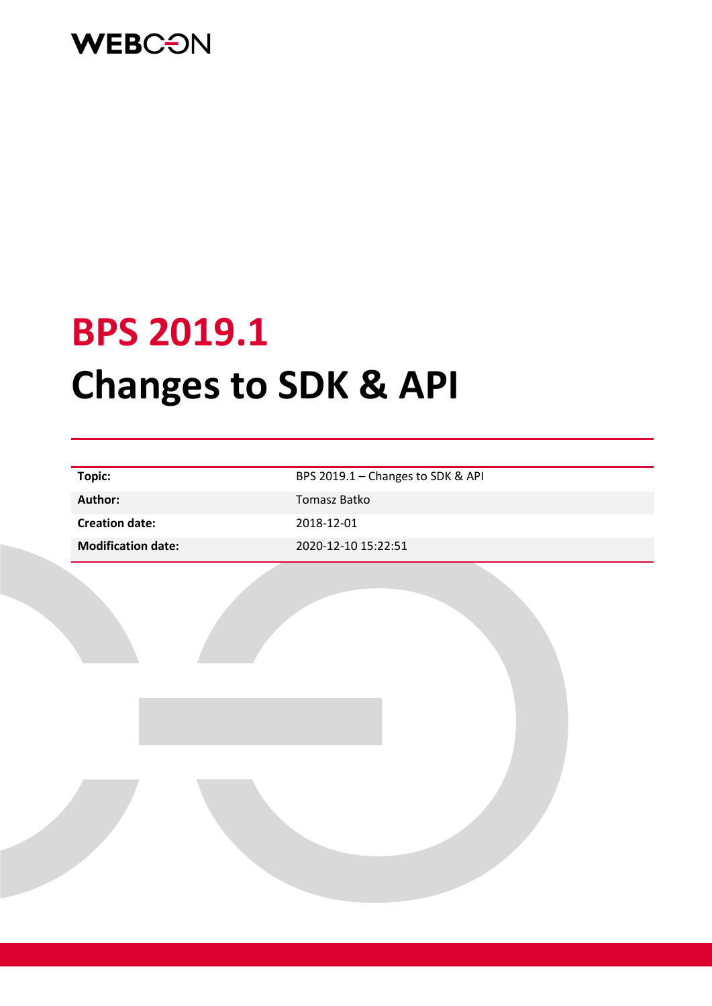

# **BPS 2019.1 Changes to SDK & API**

| Topic:                    | BPS 2019.1 - Changes to SDK & API |
|---------------------------|-----------------------------------|
| Author:                   | Tomasz Batko                      |
| <b>Creation date:</b>     | 2018-12-01                        |
| <b>Modification date:</b> | 2020-12-10 15:22:51               |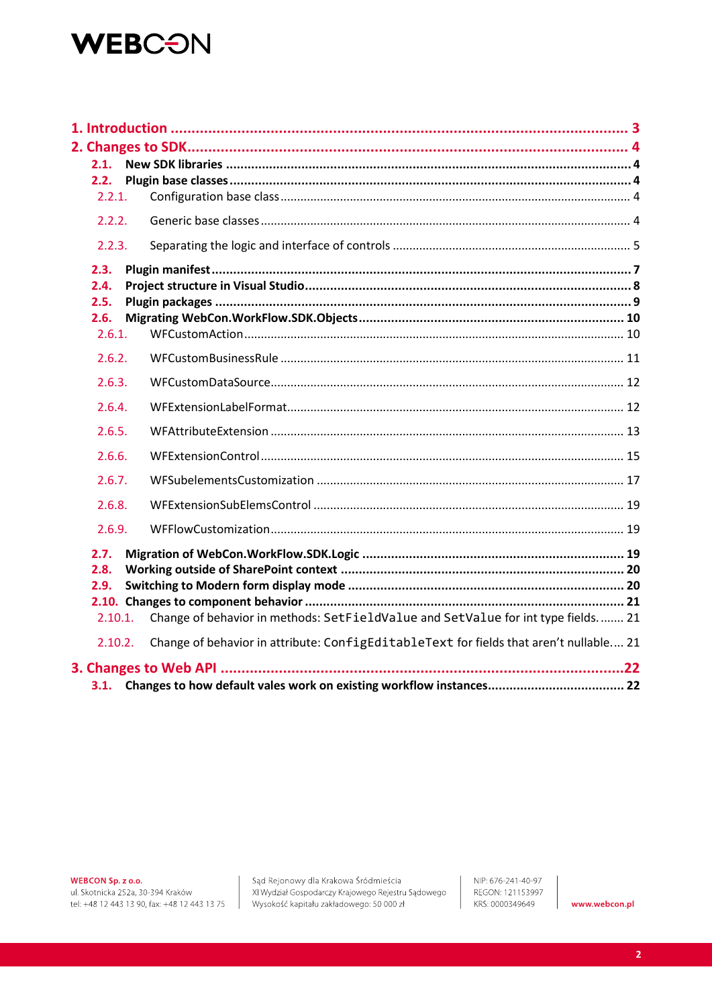### **WEBCON**

| 2.1.                 |                                                                                        |  |
|----------------------|----------------------------------------------------------------------------------------|--|
| 2.2.<br>2.2.1.       |                                                                                        |  |
| 2.2.2.               |                                                                                        |  |
|                      |                                                                                        |  |
| 2.2.3.               |                                                                                        |  |
| 2.3.                 |                                                                                        |  |
| 2.4.                 |                                                                                        |  |
| 2.5.                 |                                                                                        |  |
| 2.6.<br>2.6.1.       |                                                                                        |  |
|                      |                                                                                        |  |
| 2.6.2.               |                                                                                        |  |
| 2.6.3.               |                                                                                        |  |
| 2.6.4.               |                                                                                        |  |
| 2.6.5.               |                                                                                        |  |
| 2.6.6.               |                                                                                        |  |
| 2.6.7.               |                                                                                        |  |
| 2.6.8.               |                                                                                        |  |
| 2.6.9.               |                                                                                        |  |
| 2.7.<br>2.8.<br>2.9. |                                                                                        |  |
| 2.10.1.              | Change of behavior in methods: SetFieldValue and SetValue for int type fields 21       |  |
| 2.10.2.              | Change of behavior in attribute: ConfigEditableText for fields that aren't nullable 21 |  |
|                      |                                                                                        |  |
|                      |                                                                                        |  |

WEBCON Sp. z o.o.

ul. Skotnicka 252a, 30-394 Kraków tel: +48 12 443 13 90, fax: +48 12 443 13 75

Sąd Rejonowy dla Krakowa Śródmieścia XI Wydział Gospodarczy Krajowego Rejestru Sądowego Wysokość kapitału zakładowego: 50 000 zł

NIP: 676-241-40-97 REGON: 121153997 KRS: 0000349649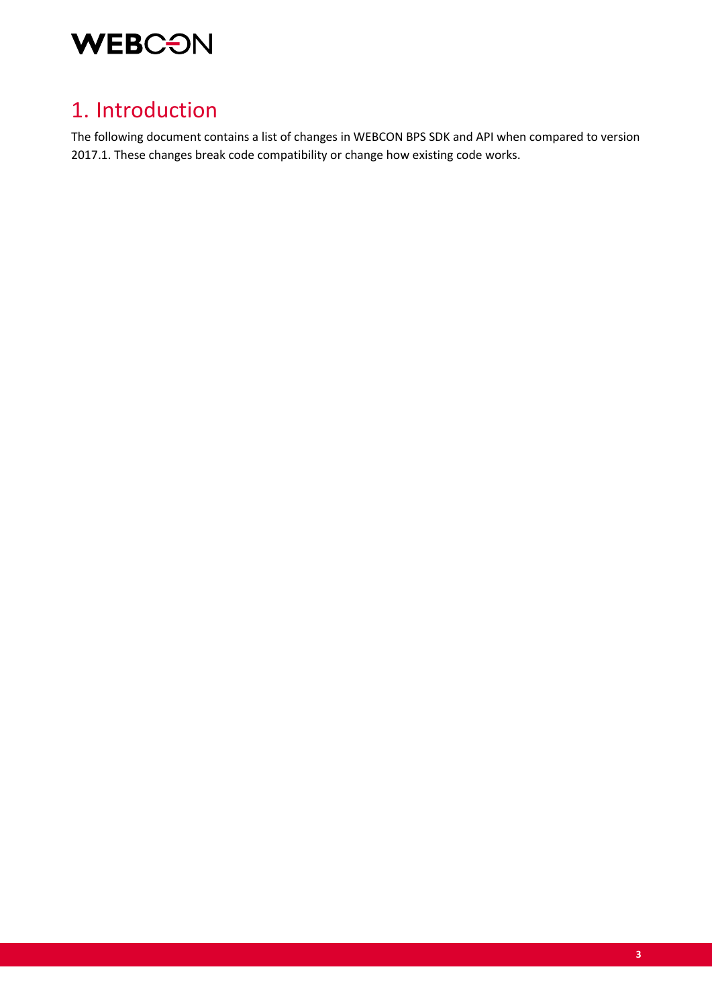

### 1. Introduction

The following document contains a list of changes in WEBCON BPS SDK and API when compared to version 2017.1. These changes break code compatibility or change how existing code works.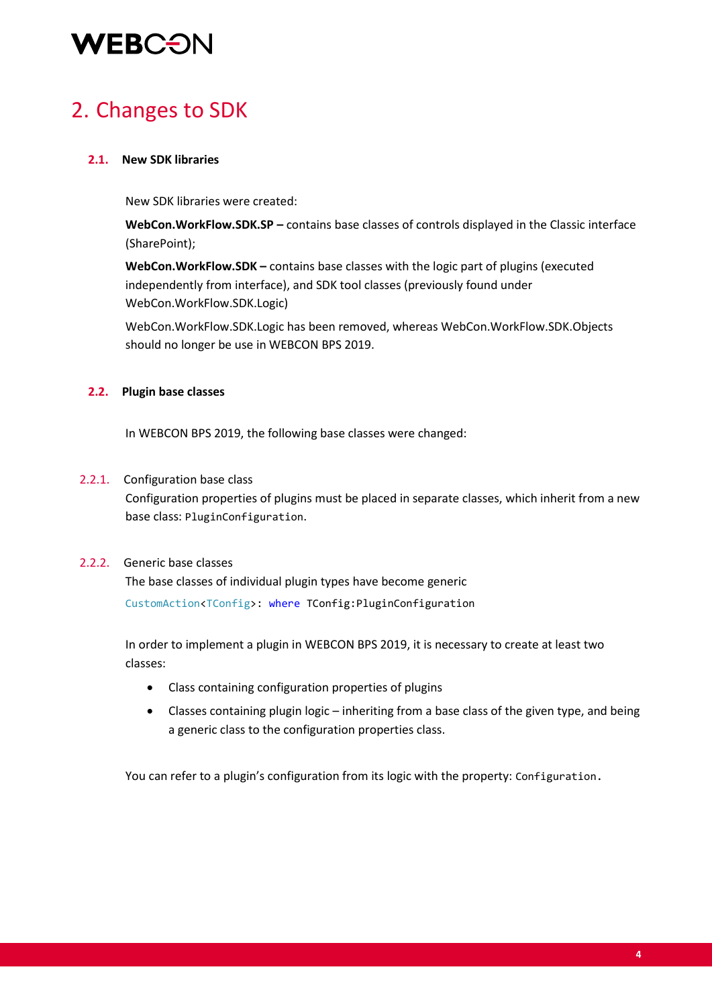# **WEBCON**

### 2. Changes to SDK

#### **2.1. New SDK libraries**

New SDK libraries were created:

**WebCon.WorkFlow.SDK.SP –** contains base classes of controls displayed in the Classic interface (SharePoint);

**WebCon.WorkFlow.SDK –** contains base classes with the logic part of plugins (executed independently from interface), and SDK tool classes (previously found under WebCon.WorkFlow.SDK.Logic)

WebCon.WorkFlow.SDK.Logic has been removed, whereas WebCon.WorkFlow.SDK.Objects should no longer be use in WEBCON BPS 2019.

#### **2.2. Plugin base classes**

In WEBCON BPS 2019, the following base classes were changed:

#### 2.2.1. Configuration base class

Configuration properties of plugins must be placed in separate classes, which inherit from a new base class: PluginConfiguration.

#### 2.2.2. Generic base classes

The base classes of individual plugin types have become generic CustomAction<TConfig>: where TConfig:PluginConfiguration

In order to implement a plugin in WEBCON BPS 2019, it is necessary to create at least two classes:

- Class containing configuration properties of plugins
- Classes containing plugin logic inheriting from a base class of the given type, and being a generic class to the configuration properties class.

You can refer to a plugin's configuration from its logic with the property: Configuration.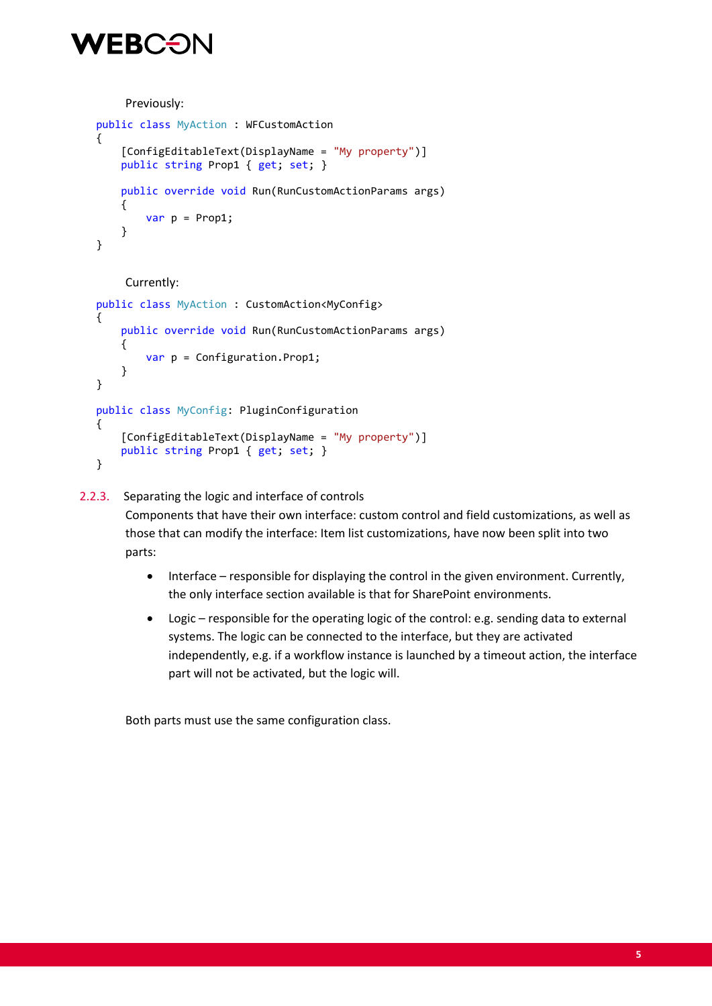### VEBC<del>E</del>)

Previously:

```
 public class MyAction : WFCustomAction
     {
         [ConfigEditableText(DisplayName = "My property")]
         public string Prop1 { get; set; }
         public override void Run(RunCustomActionParams args)
\overline{\mathcal{L}}var p = 1:
         }
     }
```
#### Currently:

```
 public class MyAction : CustomAction<MyConfig>
     {
         public override void Run(RunCustomActionParams args)
\overline{\mathcal{L}} var p = Configuration.Prop1;
         }
     }
     public class MyConfig: PluginConfiguration
     {
         [ConfigEditableText(DisplayName = "My property")]
         public string Prop1 { get; set; }
     }
```
#### 2.2.3. Separating the logic and interface of controls

Components that have their own interface: custom control and field customizations, as well as those that can modify the interface: Item list customizations, have now been split into two parts:

- Interface responsible for displaying the control in the given environment. Currently, the only interface section available is that for SharePoint environments.
- Logic responsible for the operating logic of the control: e.g. sending data to external systems. The logic can be connected to the interface, but they are activated independently, e.g. if a workflow instance is launched by a timeout action, the interface part will not be activated, but the logic will.

Both parts must use the same configuration class.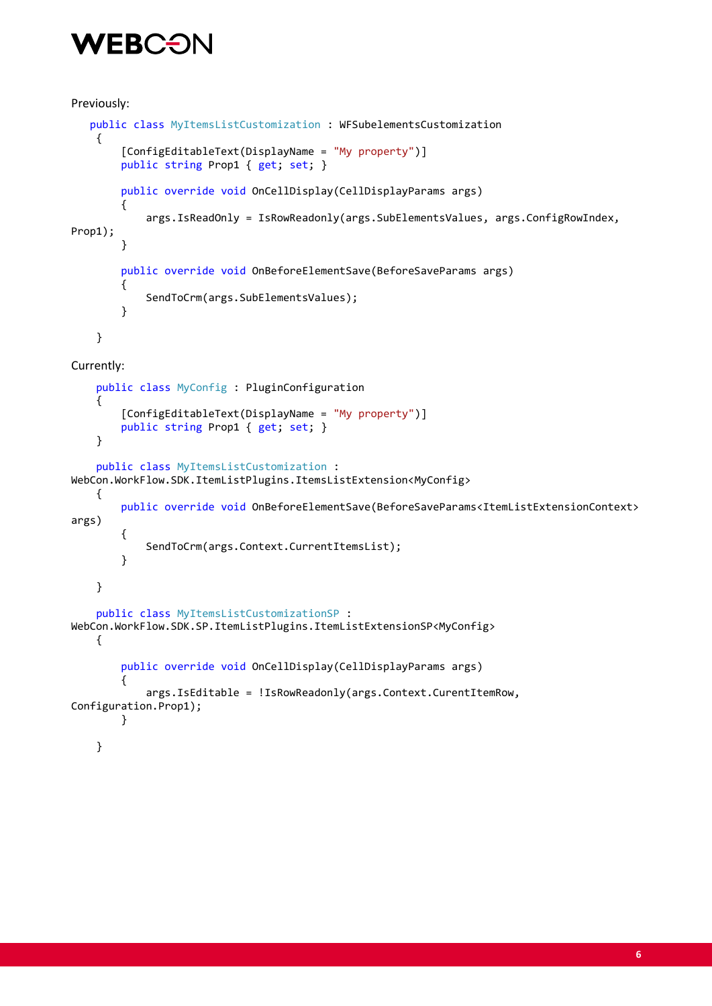## **WEBCO**

```
Previously:
    public class MyItemsListCustomization : WFSubelementsCustomization
     {
         [ConfigEditableText(DisplayName = "My property")]
         public string Prop1 { get; set; }
         public override void OnCellDisplay(CellDisplayParams args)
         {
             args.IsReadOnly = IsRowReadonly(args.SubElementsValues, args.ConfigRowIndex, 
Prop1);
         }
         public override void OnBeforeElementSave(BeforeSaveParams args)
         {
             SendToCrm(args.SubElementsValues);
         }
     }
Currently:
     public class MyConfig : PluginConfiguration
     {
         [ConfigEditableText(DisplayName = "My property")]
         public string Prop1 { get; set; }
     }
     public class MyItemsListCustomization : 
WebCon.WorkFlow.SDK.ItemListPlugins.ItemsListExtension<MyConfig>
     {
         public override void OnBeforeElementSave(BeforeSaveParams<ItemListExtensionContext> 
args)
         {
             SendToCrm(args.Context.CurrentItemsList);
 }
     }
     public class MyItemsListCustomizationSP : 
WebCon.WorkFlow.SDK.SP.ItemListPlugins.ItemListExtensionSP<MyConfig>
     {
         public override void OnCellDisplay(CellDisplayParams args)
         {
             args.IsEditable = !IsRowReadonly(args.Context.CurentItemRow, 
Configuration.Prop1);
         }
```
}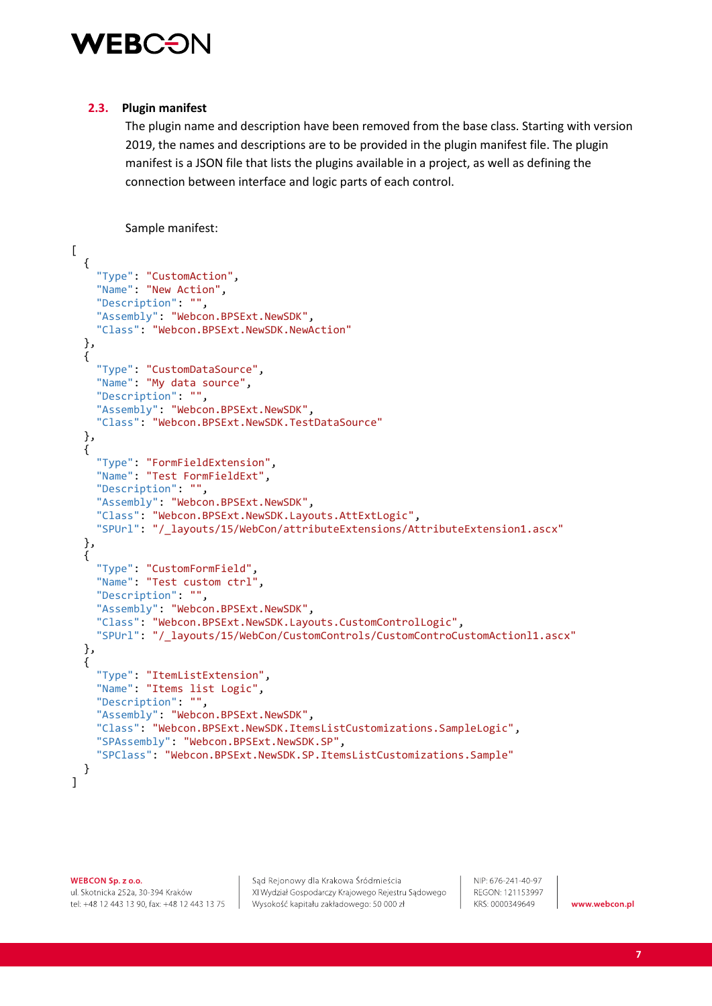

#### **2.3. Plugin manifest**

The plugin name and description have been removed from the base class. Starting with version 2019, the names and descriptions are to be provided in the plugin manifest file. The plugin manifest is a JSON file that lists the plugins available in a project, as well as defining the connection between interface and logic parts of each control.

Sample manifest:

```
\lbrack {
     "Type": "CustomAction",
     "Name": "New Action",
     "Description": "",
 "Assembly": "Webcon.BPSExt.NewSDK",
 "Class": "Webcon.BPSExt.NewSDK.NewAction"
  },
   {
     "Type": "CustomDataSource",
     "Name": "My data source",
     "Description": "",
     "Assembly": "Webcon.BPSExt.NewSDK",
     "Class": "Webcon.BPSExt.NewSDK.TestDataSource"
  },
  {
     "Type": "FormFieldExtension",
     "Name": "Test FormFieldExt",
     "Description": "",
     "Assembly": "Webcon.BPSExt.NewSDK",
     "Class": "Webcon.BPSExt.NewSDK.Layouts.AttExtLogic",
     "SPUrl": "/_layouts/15/WebCon/attributeExtensions/AttributeExtension1.ascx"
 },
\{ "Type": "CustomFormField",
     "Name": "Test custom ctrl",
     "Description": "",
     "Assembly": "Webcon.BPSExt.NewSDK",
     "Class": "Webcon.BPSExt.NewSDK.Layouts.CustomControlLogic",
     "SPUrl": "/_layouts/15/WebCon/CustomControls/CustomControCustomActionl1.ascx"
  },
   {
     "Type": "ItemListExtension",
     "Name": "Items list Logic",
     "Description": "",
     "Assembly": "Webcon.BPSExt.NewSDK",
     "Class": "Webcon.BPSExt.NewSDK.ItemsListCustomizations.SampleLogic",
     "SPAssembly": "Webcon.BPSExt.NewSDK.SP",
     "SPClass": "Webcon.BPSExt.NewSDK.SP.ItemsListCustomizations.Sample"
  }
]
```
WEBCON Sp. z o.o.

ul. Skotnicka 252a, 30-394 Kraków tel: +48 12 443 13 90, fax: +48 12 443 13 75

Sąd Rejonowy dla Krakowa Śródmieścia XI Wydział Gospodarczy Krajowego Rejestru Sądowego Wysokość kapitału zakładowego: 50 000 zł

NIP: 676-241-40-97 REGON: 121153997 KRS: 0000349649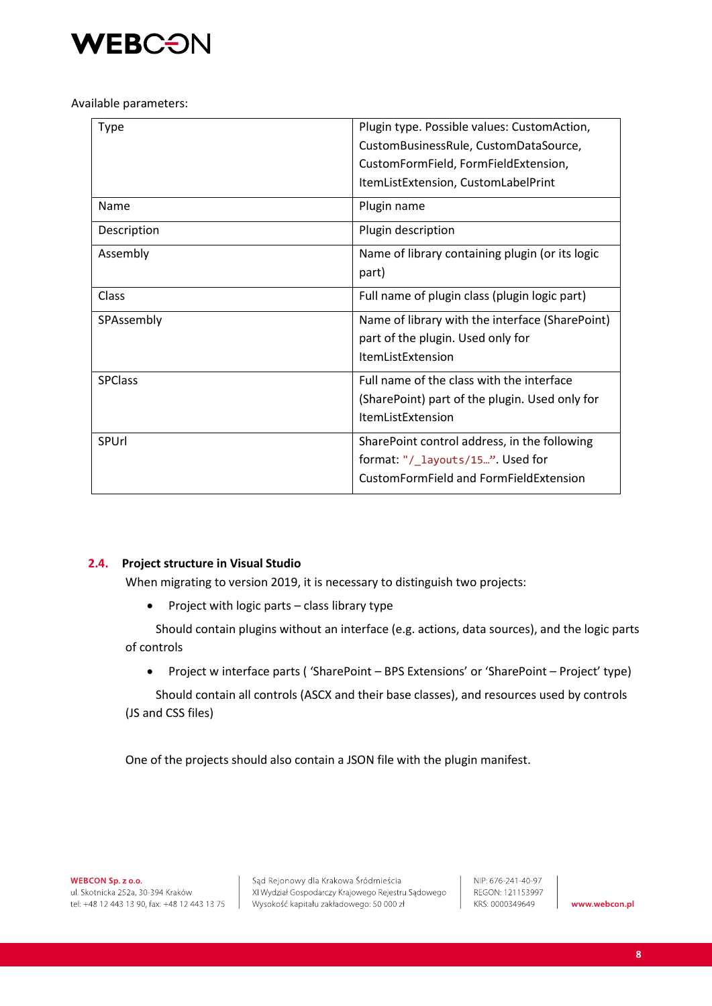

Available parameters:

| Type           | Plugin type. Possible values: CustomAction,     |
|----------------|-------------------------------------------------|
|                | CustomBusinessRule, CustomDataSource,           |
|                | CustomFormField, FormFieldExtension,            |
|                | ItemListExtension, CustomLabelPrint             |
| Name           | Plugin name                                     |
| Description    | Plugin description                              |
| Assembly       | Name of library containing plugin (or its logic |
|                | part)                                           |
| Class          | Full name of plugin class (plugin logic part)   |
| SPAssembly     | Name of library with the interface (SharePoint) |
|                | part of the plugin. Used only for               |
|                | <b>ItemListExtension</b>                        |
| <b>SPClass</b> | Full name of the class with the interface       |
|                | (SharePoint) part of the plugin. Used only for  |
|                | <b>ItemListExtension</b>                        |
| SPUrl          | SharePoint control address, in the following    |
|                | format: "/_layouts/15". Used for                |
|                | CustomFormField and FormFieldExtension          |

#### **2.4. Project structure in Visual Studio**

When migrating to version 2019, it is necessary to distinguish two projects:

• Project with logic parts – class library type

Should contain plugins without an interface (e.g. actions, data sources), and the logic parts of controls

• Project w interface parts ( 'SharePoint – BPS Extensions' or 'SharePoint – Project' type)

Should contain all controls (ASCX and their base classes), and resources used by controls (JS and CSS files)

One of the projects should also contain a JSON file with the plugin manifest.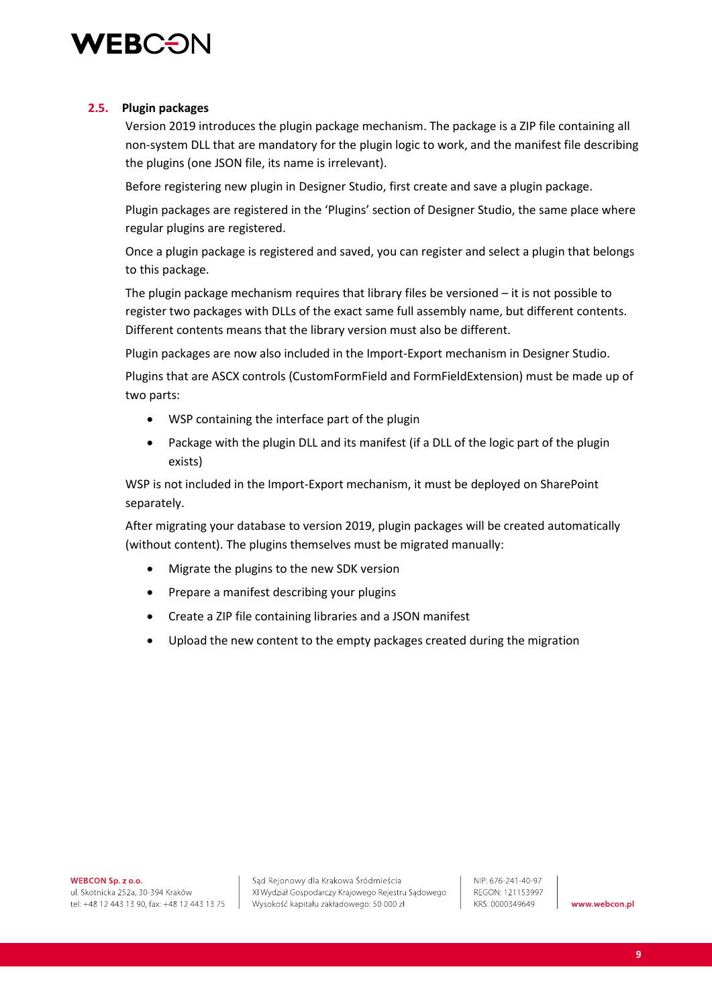

#### **2.5. Plugin packages**

Version 2019 introduces the plugin package mechanism. The package is a ZIP file containing all non-system DLL that are mandatory for the plugin logic to work, and the manifest file describing the plugins (one JSON file, its name is irrelevant).

Before registering new plugin in Designer Studio, first create and save a plugin package.

Plugin packages are registered in the 'Plugins' section of Designer Studio, the same place where regular plugins are registered.

Once a plugin package is registered and saved, you can register and select a plugin that belongs to this package.

The plugin package mechanism requires that library files be versioned – it is not possible to register two packages with DLLs of the exact same full assembly name, but different contents. Different contents means that the library version must also be different.

Plugin packages are now also included in the Import-Export mechanism in Designer Studio.

Plugins that are ASCX controls (CustomFormField and FormFieldExtension) must be made up of two parts:

- WSP containing the interface part of the plugin
- Package with the plugin DLL and its manifest (if a DLL of the logic part of the plugin exists)

WSP is not included in the Import-Export mechanism, it must be deployed on SharePoint separately.

After migrating your database to version 2019, plugin packages will be created automatically (without content). The plugins themselves must be migrated manually:

- Migrate the plugins to the new SDK version
- Prepare a manifest describing your plugins
- Create a ZIP file containing libraries and a JSON manifest
- Upload the new content to the empty packages created during the migration

WEBCON Sp. z o.o.

ul. Skotnicka 252a, 30-394 Kraków tel: +48 12 443 13 90, fax: +48 12 443 13 75

Sąd Rejonowy dla Krakowa Śródmieścia XI Wydział Gospodarczy Krajowego Rejestru Sądowego Wysokość kapitału zakładowego: 50 000 zł

NIP: 676-241-40-97 REGON: 121153997 KRS: 0000349649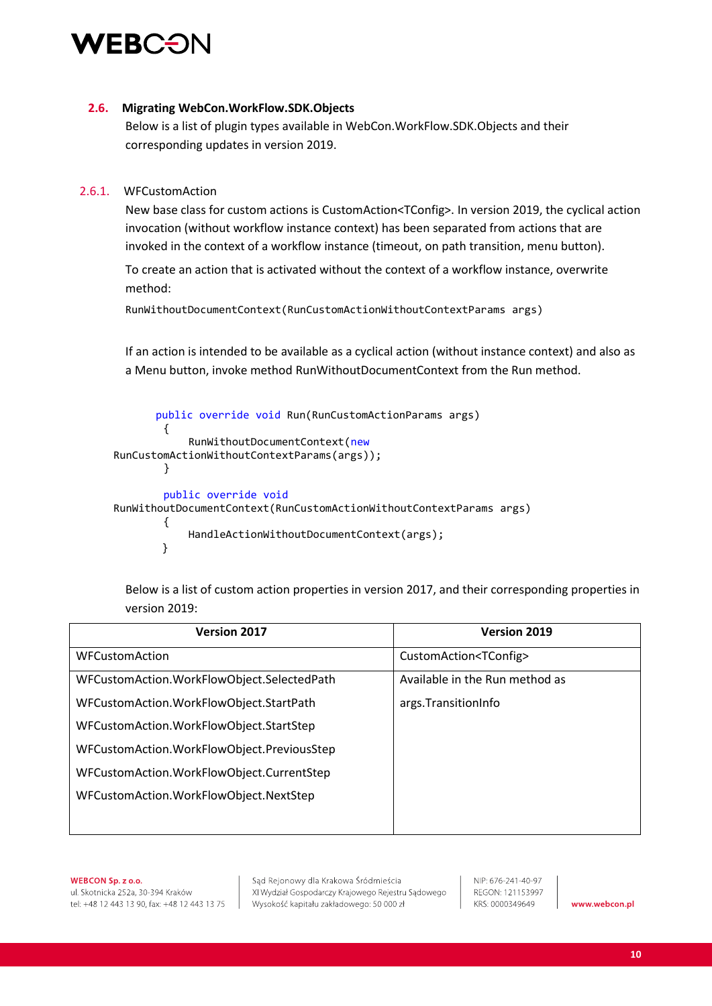

#### **2.6. Migrating WebCon.WorkFlow.SDK.Objects**

Below is a list of plugin types available in WebCon.WorkFlow.SDK.Objects and their corresponding updates in version 2019.

#### 2.6.1. WFCustomAction

New base class for custom actions is CustomAction<TConfig>. In version 2019, the cyclical action invocation (without workflow instance context) has been separated from actions that are invoked in the context of a workflow instance (timeout, on path transition, menu button).

To create an action that is activated without the context of a workflow instance, overwrite method:

RunWithoutDocumentContext(RunCustomActionWithoutContextParams args)

If an action is intended to be available as a cyclical action (without instance context) and also as a Menu button, invoke method RunWithoutDocumentContext from the Run method.

```
 public override void Run(RunCustomActionParams args)
         {
             RunWithoutDocumentContext(new
RunCustomActionWithoutContextParams(args));
         }
         public override void
RunWithoutDocumentContext(RunCustomActionWithoutContextParams args)
         {
             HandleActionWithoutDocumentContext(args);
        }
```
Below is a list of custom action properties in version 2017, and their corresponding properties in version 2019:

| <b>Version 2017</b>                        | <b>Version 2019</b>              |
|--------------------------------------------|----------------------------------|
| <b>WFCustomAction</b>                      | CustomAction <tconfig></tconfig> |
| WFCustomAction.WorkFlowObject.SelectedPath | Available in the Run method as   |
| WFCustomAction.WorkFlowObject.StartPath    | args.TransitionInfo              |
| WFCustomAction.WorkFlowObject.StartStep    |                                  |
| WFCustomAction.WorkFlowObject.PreviousStep |                                  |
| WFCustomAction.WorkFlowObject.CurrentStep  |                                  |
| WFCustomAction.WorkFlowObject.NextStep     |                                  |
|                                            |                                  |

WEBCON Sp. z o.o. ul. Skotnicka 252a, 30-394 Kraków tel: +48 12 443 13 90, fax: +48 12 443 13 75

Sąd Rejonowy dla Krakowa Śródmieścia XI Wydział Gospodarczy Krajowego Rejestru Sądowego Wysokość kapitału zakładowego: 50 000 zł

NIP: 676-241-40-97 REGON: 121153997 KRS: 0000349649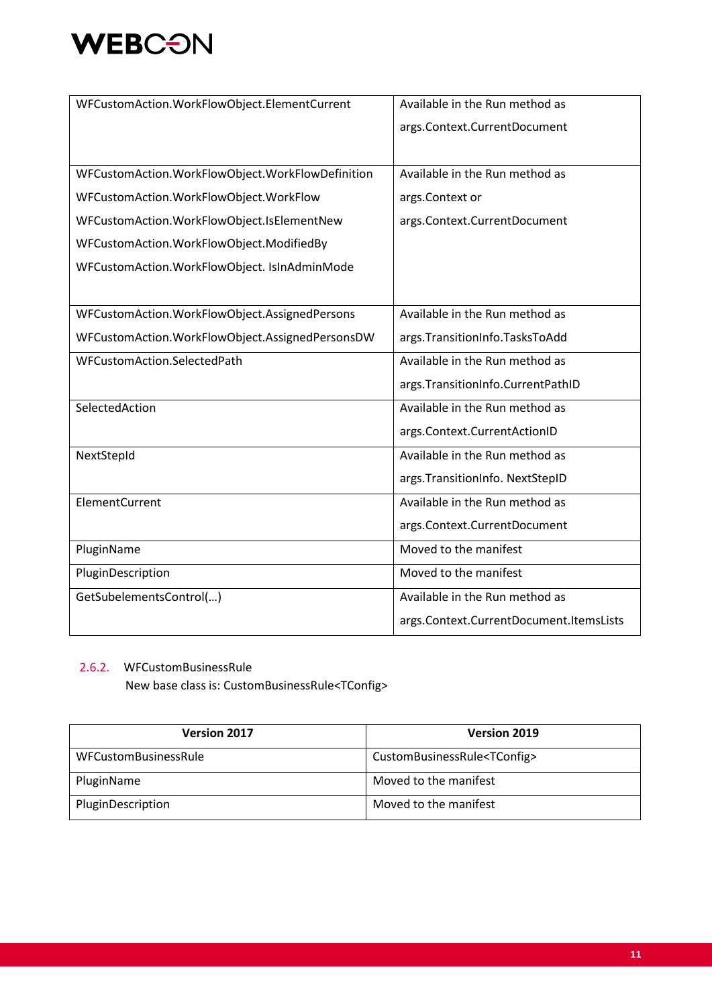

| WFCustomAction.WorkFlowObject.ElementCurrent     | Available in the Run method as          |
|--------------------------------------------------|-----------------------------------------|
|                                                  | args.Context.CurrentDocument            |
|                                                  |                                         |
| WFCustomAction.WorkFlowObject.WorkFlowDefinition | Available in the Run method as          |
| WFCustomAction.WorkFlowObject.WorkFlow           | args.Context or                         |
| WFCustomAction.WorkFlowObject.IsElementNew       | args.Context.CurrentDocument            |
| WFCustomAction.WorkFlowObject.ModifiedBy         |                                         |
| WFCustomAction.WorkFlowObject. IsInAdminMode     |                                         |
|                                                  |                                         |
| WFCustomAction.WorkFlowObject.AssignedPersons    | Available in the Run method as          |
| WFCustomAction.WorkFlowObject.AssignedPersonsDW  | args.TransitionInfo.TasksToAdd          |
| WFCustomAction.SelectedPath                      | Available in the Run method as          |
|                                                  | args. TransitionInfo. CurrentPathID     |
| SelectedAction                                   | Available in the Run method as          |
|                                                  | args.Context.CurrentActionID            |
| NextStepId                                       | Available in the Run method as          |
|                                                  | args. TransitionInfo. NextStepID        |
| ElementCurrent                                   | Available in the Run method as          |
|                                                  | args.Context.CurrentDocument            |
| PluginName                                       | Moved to the manifest                   |
| PluginDescription                                | Moved to the manifest                   |
| GetSubelementsControl()                          | Available in the Run method as          |
|                                                  | args.Context.CurrentDocument.ItemsLists |

#### 2.6.2. WFCustomBusinessRule

New base class is: CustomBusinessRule<TConfig>

| <b>Version 2017</b>  | Version 2019                           |
|----------------------|----------------------------------------|
| WFCustomBusinessRule | CustomBusinessRule <tconfig></tconfig> |
| PluginName           | Moved to the manifest                  |
| PluginDescription    | Moved to the manifest                  |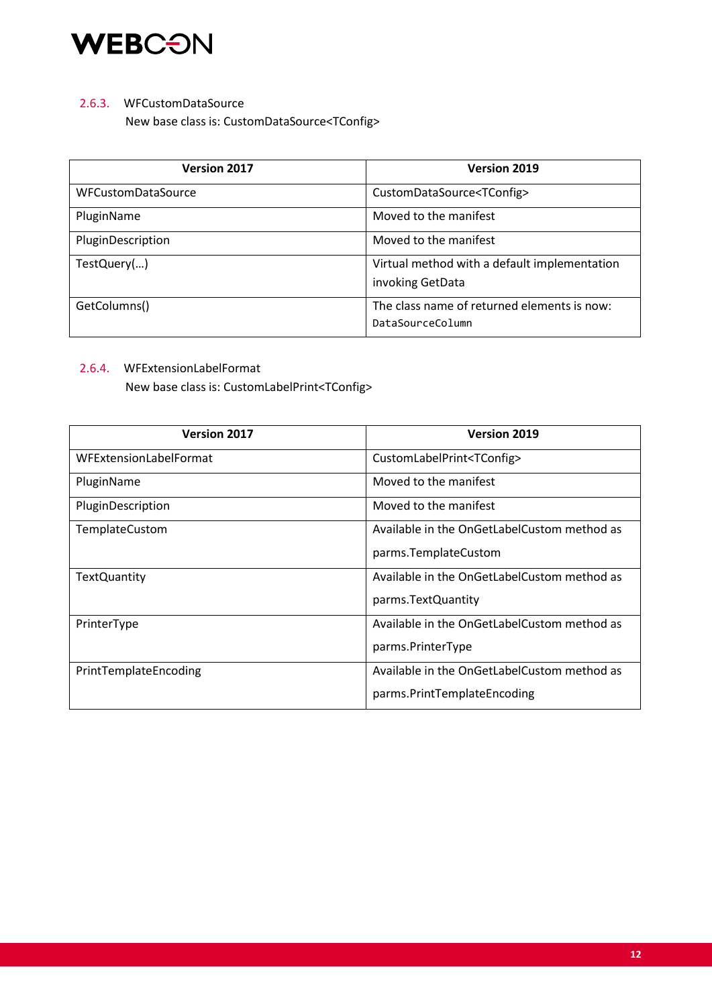

#### 2.6.3. WFCustomDataSource

New base class is: CustomDataSource<TConfig>

| <b>Version 2017</b>       | <b>Version 2019</b>                                              |
|---------------------------|------------------------------------------------------------------|
| <b>WFCustomDataSource</b> | CustomDataSource <tconfig></tconfig>                             |
| PluginName                | Moved to the manifest                                            |
| PluginDescription         | Moved to the manifest                                            |
| TestQuery()               | Virtual method with a default implementation<br>invoking GetData |
| GetColumns()              | The class name of returned elements is now:<br>DataSourceColumn  |

#### 2.6.4. WFExtensionLabelFormat

New base class is: CustomLabelPrint<TConfig>

| <b>Version 2017</b>    | <b>Version 2019</b>                         |
|------------------------|---------------------------------------------|
| WFExtensionLabelFormat | CustomLabelPrint <tconfig></tconfig>        |
| PluginName             | Moved to the manifest                       |
| PluginDescription      | Moved to the manifest                       |
| TemplateCustom         | Available in the OnGetLabelCustom method as |
|                        | parms.TemplateCustom                        |
| <b>TextQuantity</b>    | Available in the OnGetLabelCustom method as |
|                        | parms. Text Quantity                        |
| PrinterType            | Available in the OnGetLabelCustom method as |
|                        | parms.PrinterType                           |
| PrintTemplateEncoding  | Available in the OnGetLabelCustom method as |
|                        | parms.PrintTemplateEncoding                 |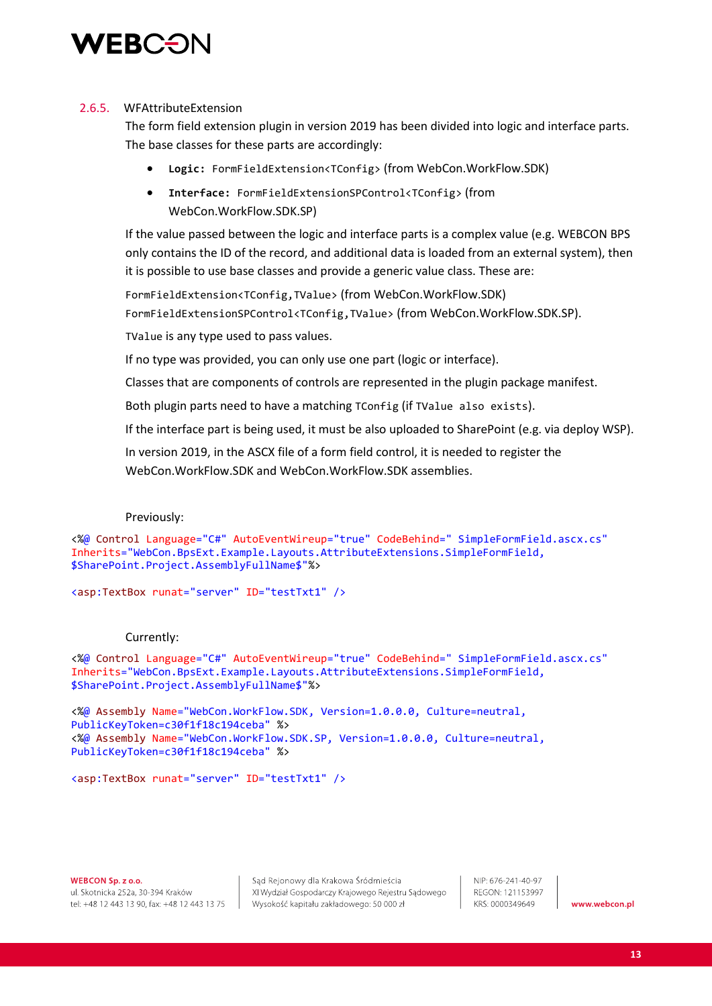

#### 2.6.5. WFAttributeExtension

The form field extension plugin in version 2019 has been divided into logic and interface parts. The base classes for these parts are accordingly:

- **Logic:** FormFieldExtension<TConfig> (from WebCon.WorkFlow.SDK)
- **Interface:** FormFieldExtensionSPControl<TConfig> (from WebCon.WorkFlow.SDK.SP)

If the value passed between the logic and interface parts is a complex value (e.g. WEBCON BPS only contains the ID of the record, and additional data is loaded from an external system), then it is possible to use base classes and provide a generic value class. These are:

FormFieldExtension<TConfig,TValue> (from WebCon.WorkFlow.SDK) FormFieldExtensionSPControl<TConfig,TValue> (from WebCon.WorkFlow.SDK.SP).

TValue is any type used to pass values.

If no type was provided, you can only use one part (logic or interface).

Classes that are components of controls are represented in the plugin package manifest.

Both plugin parts need to have a matching TConfig (if TValue also exists).

If the interface part is being used, it must be also uploaded to SharePoint (e.g. via deploy WSP).

In version 2019, in the ASCX file of a form field control, it is needed to register the WebCon.WorkFlow.SDK and WebCon.WorkFlow.SDK assemblies.

#### Previously:

<%@ Control Language="C#" AutoEventWireup="true" CodeBehind=" SimpleFormField.ascx.cs" Inherits="WebCon.BpsExt.Example.Layouts.AttributeExtensions.SimpleFormField, \$SharePoint.Project.AssemblyFullName\$"%>

<asp:TextBox runat="server" ID="testTxt1" />

#### Currently:

<%@ Control Language="C#" AutoEventWireup="true" CodeBehind=" SimpleFormField.ascx.cs" Inherits="WebCon.BpsExt.Example.Layouts.AttributeExtensions.SimpleFormField, \$SharePoint.Project.AssemblyFullName\$"%>

<%@ Assembly Name="WebCon.WorkFlow.SDK, Version=1.0.0.0, Culture=neutral, PublicKeyToken=c30f1f18c194ceba" %> <%@ Assembly Name="WebCon.WorkFlow.SDK.SP, Version=1.0.0.0, Culture=neutral, PublicKeyToken=c30f1f18c194ceba" %>

<asp:TextBox runat="server" ID="testTxt1" />

WEBCON Sp. z o.o. ul. Skotnicka 252a, 30-394 Kraków tel: +48 12 443 13 90, fax: +48 12 443 13 75

Sąd Rejonowy dla Krakowa Śródmieścia XI Wydział Gospodarczy Krajowego Rejestru Sądowego Wysokość kapitału zakładowego: 50 000 zł

NIP: 676-241-40-97 REGON: 121153997 KRS: 0000349649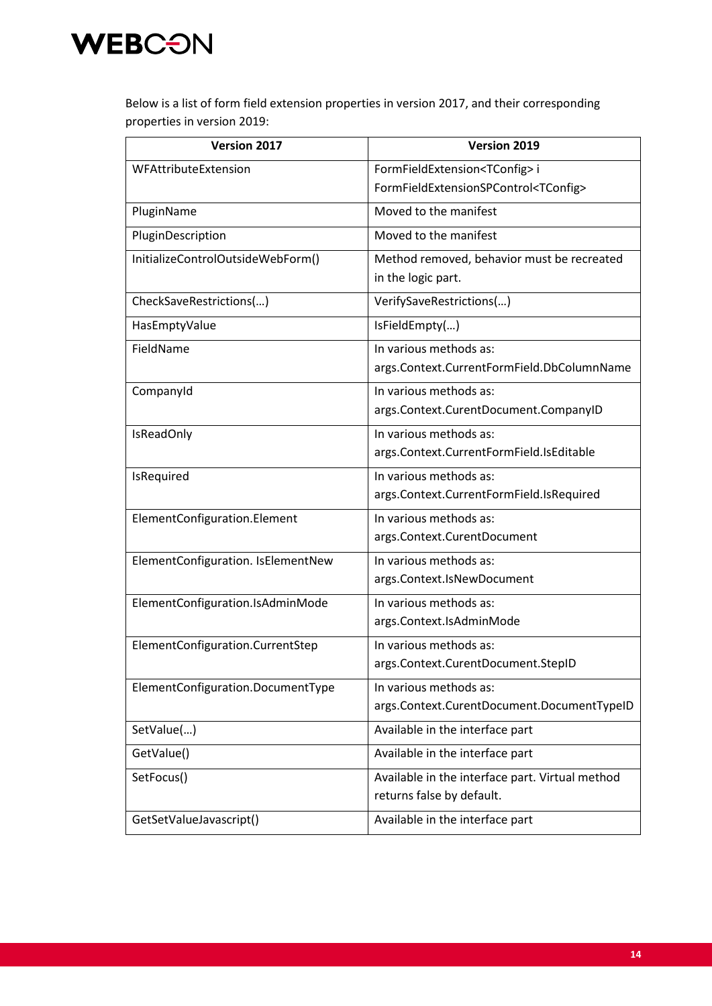

Below is a list of form field extension properties in version 2017, and their corresponding properties in version 2019:

| Version 2017                       | Version 2019                                    |
|------------------------------------|-------------------------------------------------|
| WFAttributeExtension               | FormFieldExtension <tconfig>i</tconfig>         |
|                                    | FormFieldExtensionSPControl <tconfig></tconfig> |
| PluginName                         | Moved to the manifest                           |
| PluginDescription                  | Moved to the manifest                           |
| InitializeControlOutsideWebForm()  | Method removed, behavior must be recreated      |
|                                    | in the logic part.                              |
| CheckSaveRestrictions()            | VerifySaveRestrictions()                        |
| HasEmptyValue                      | IsFieldEmpty()                                  |
| FieldName                          | In various methods as:                          |
|                                    | args.Context.CurrentFormField.DbColumnName      |
| CompanyId                          | In various methods as:                          |
|                                    | args.Context.CurentDocument.CompanyID           |
| <b>IsReadOnly</b>                  | In various methods as:                          |
|                                    | args.Context.CurrentFormField.IsEditable        |
| IsRequired                         | In various methods as:                          |
|                                    | args.Context.CurrentFormField.IsRequired        |
| ElementConfiguration.Element       | In various methods as:                          |
|                                    | args.Context.CurentDocument                     |
| ElementConfiguration. IsElementNew | In various methods as:                          |
|                                    | args.Context.IsNewDocument                      |
| ElementConfiguration.IsAdminMode   | In various methods as:                          |
|                                    | args.Context.IsAdminMode                        |
| ElementConfiguration.CurrentStep   | In various methods as:                          |
|                                    | args.Context.CurentDocument.StepID              |
| ElementConfiguration.DocumentType  | In various methods as:                          |
|                                    | args.Context.CurentDocument.DocumentTypeID      |
| SetValue()                         | Available in the interface part                 |
| GetValue()                         | Available in the interface part                 |
| SetFocus()                         | Available in the interface part. Virtual method |
|                                    | returns false by default.                       |
| GetSetValueJavascript()            | Available in the interface part                 |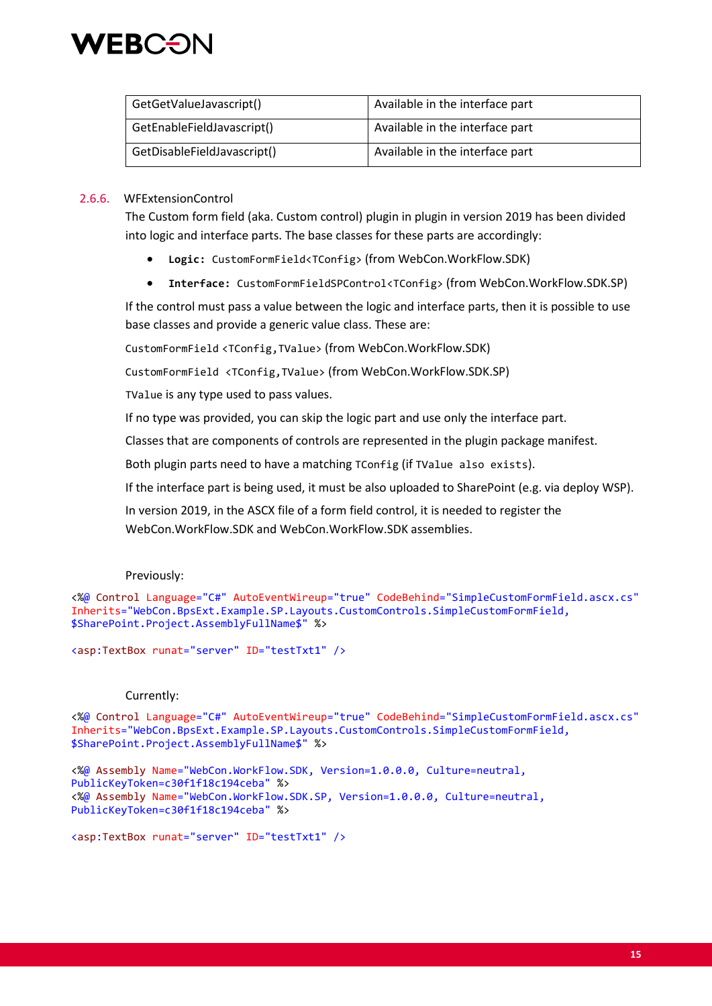

| GetGetValueJavascript()     | Available in the interface part |
|-----------------------------|---------------------------------|
| GetEnableFieldJavascript()  | Available in the interface part |
| GetDisableFieldJavascript() | Available in the interface part |

#### 2.6.6. WFExtensionControl

The Custom form field (aka. Custom control) plugin in plugin in version 2019 has been divided into logic and interface parts. The base classes for these parts are accordingly:

- **Logic:** CustomFormField<TConfig> (from WebCon.WorkFlow.SDK)
- **Interface:** CustomFormFieldSPControl<TConfig> (from WebCon.WorkFlow.SDK.SP)

If the control must pass a value between the logic and interface parts, then it is possible to use base classes and provide a generic value class. These are:

CustomFormField <TConfig,TValue> (from WebCon.WorkFlow.SDK)

CustomFormField <TConfig,TValue> (from WebCon.WorkFlow.SDK.SP)

TValue is any type used to pass values.

If no type was provided, you can skip the logic part and use only the interface part.

Classes that are components of controls are represented in the plugin package manifest.

Both plugin parts need to have a matching TConfig (if TValue also exists).

If the interface part is being used, it must be also uploaded to SharePoint (e.g. via deploy WSP).

In version 2019, in the ASCX file of a form field control, it is needed to register the WebCon.WorkFlow.SDK and WebCon.WorkFlow.SDK assemblies.

#### Previously:

<%@ Control Language="C#" AutoEventWireup="true" CodeBehind="SimpleCustomFormField.ascx.cs" Inherits="WebCon.BpsExt.Example.SP.Layouts.CustomControls.SimpleCustomFormField, \$SharePoint.Project.AssemblyFullName\$" %>

<asp:TextBox runat="server" ID="testTxt1" />

#### Currently:

<%@ Control Language="C#" AutoEventWireup="true" CodeBehind="SimpleCustomFormField.ascx.cs" Inherits="WebCon.BpsExt.Example.SP.Layouts.CustomControls.SimpleCustomFormField, \$SharePoint.Project.AssemblyFullName\$" %>

<%@ Assembly Name="WebCon.WorkFlow.SDK, Version=1.0.0.0, Culture=neutral, PublicKeyToken=c30f1f18c194ceba" %> <%@ Assembly Name="WebCon.WorkFlow.SDK.SP, Version=1.0.0.0, Culture=neutral, PublicKeyToken=c30f1f18c194ceba" %>

<asp:TextBox runat="server" ID="testTxt1" />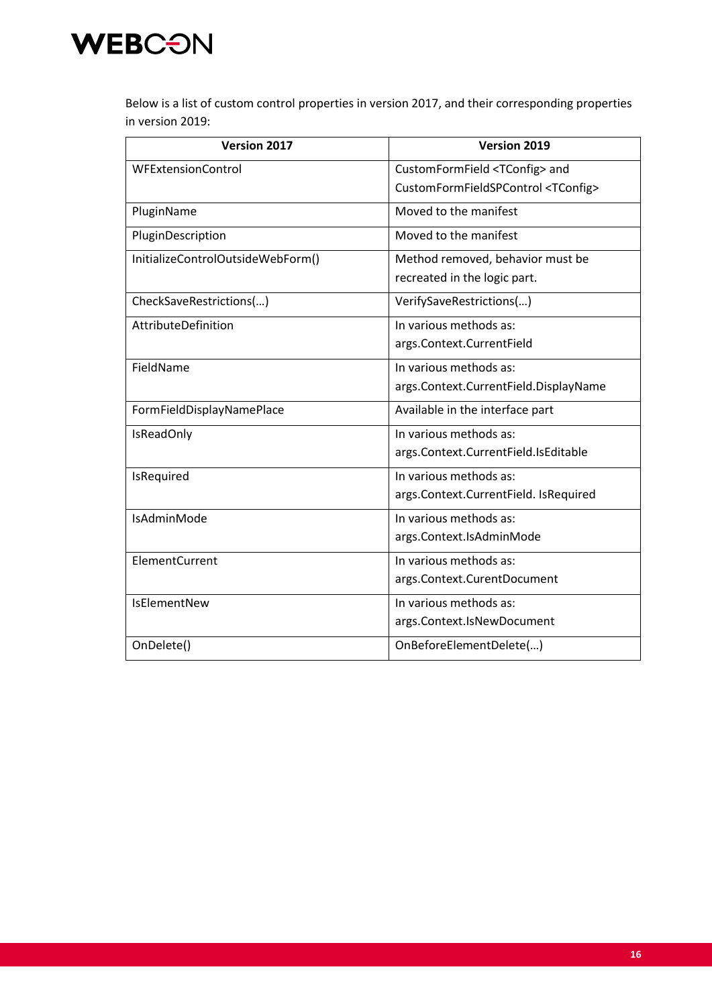

Below is a list of custom control properties in version 2017, and their corresponding properties in version 2019:

| <b>Version 2017</b>               | Version 2019                                 |
|-----------------------------------|----------------------------------------------|
| <b>WFExtensionControl</b>         | CustomFormField <tconfig> and</tconfig>      |
|                                   | CustomFormFieldSPControl <tconfig></tconfig> |
| PluginName                        | Moved to the manifest                        |
| PluginDescription                 | Moved to the manifest                        |
| InitializeControlOutsideWebForm() | Method removed, behavior must be             |
|                                   | recreated in the logic part.                 |
| CheckSaveRestrictions()           | VerifySaveRestrictions()                     |
| AttributeDefinition               | In various methods as:                       |
|                                   | args.Context.CurrentField                    |
| FieldName                         | In various methods as:                       |
|                                   | args.Context.CurrentField.DisplayName        |
| FormFieldDisplayNamePlace         | Available in the interface part              |
| <b>IsReadOnly</b>                 | In various methods as:                       |
|                                   | args.Context.CurrentField.IsEditable         |
| IsRequired                        | In various methods as:                       |
|                                   | args.Context.CurrentField. IsRequired        |
| IsAdminMode                       | In various methods as:                       |
|                                   | args.Context.IsAdminMode                     |
| ElementCurrent                    | In various methods as:                       |
|                                   | args.Context.CurentDocument                  |
| <b>IsElementNew</b>               | In various methods as:                       |
|                                   | args.Context.IsNewDocument                   |
| OnDelete()                        | OnBeforeElementDelete()                      |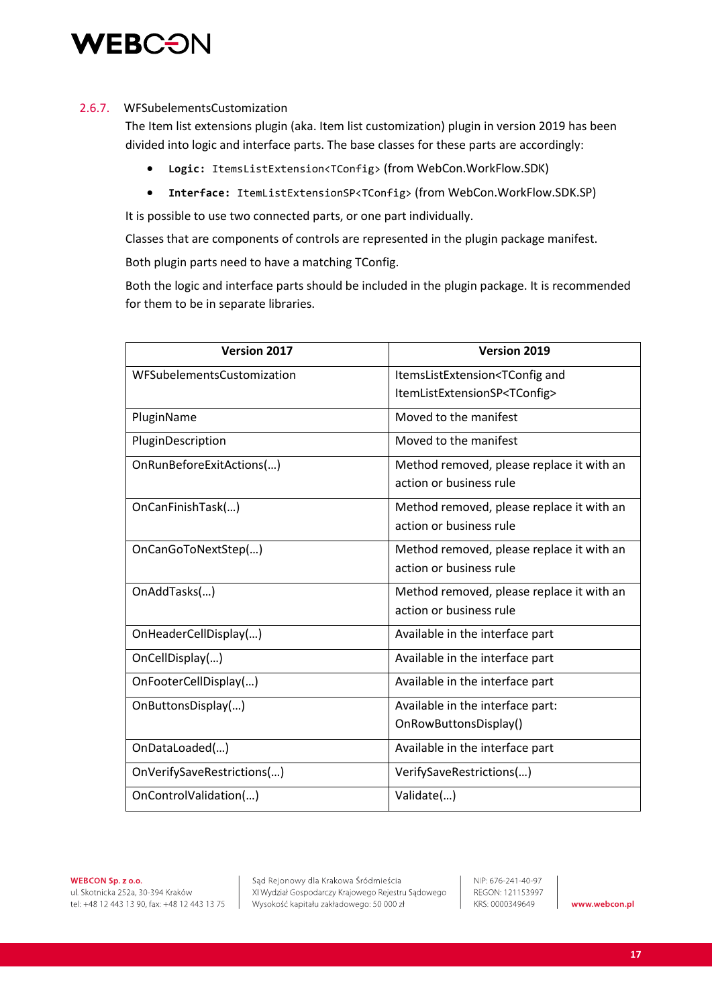

#### 2.6.7. WFSubelementsCustomization

The Item list extensions plugin (aka. Item list customization) plugin in version 2019 has been divided into logic and interface parts. The base classes for these parts are accordingly:

- **Logic:** ItemsListExtension<TConfig> (from WebCon.WorkFlow.SDK)
- **Interface:** ItemListExtensionSP<TConfig> (from WebCon.WorkFlow.SDK.SP)

It is possible to use two connected parts, or one part individually.

Classes that are components of controls are represented in the plugin package manifest.

Both plugin parts need to have a matching TConfig.

Both the logic and interface parts should be included in the plugin package. It is recommended for them to be in separate libraries.

| <b>Version 2017</b>        | Version 2019                                         |
|----------------------------|------------------------------------------------------|
| WFSubelementsCustomization | ItemsListExtension <tconfig and<="" td=""></tconfig> |
|                            | ItemListExtensionSP <tconfig></tconfig>              |
| PluginName                 | Moved to the manifest                                |
| PluginDescription          | Moved to the manifest                                |
| OnRunBeforeExitActions()   | Method removed, please replace it with an            |
|                            | action or business rule                              |
| OnCanFinishTask()          | Method removed, please replace it with an            |
|                            | action or business rule                              |
| OnCanGoToNextStep()        | Method removed, please replace it with an            |
|                            | action or business rule                              |
| OnAddTasks()               | Method removed, please replace it with an            |
|                            | action or business rule                              |
| OnHeaderCellDisplay()      | Available in the interface part                      |
| OnCellDisplay()            | Available in the interface part                      |
| OnFooterCellDisplay()      | Available in the interface part                      |
| OnButtonsDisplay()         | Available in the interface part:                     |
|                            | OnRowButtonsDisplay()                                |
| OnDataLoaded()             | Available in the interface part                      |
| OnVerifySaveRestrictions() | VerifySaveRestrictions()                             |
| OnControlValidation()      | Validate()                                           |

Sąd Rejonowy dla Krakowa Śródmieścia XI Wydział Gospodarczy Krajowego Rejestru Sądowego Wysokość kapitału zakładowego: 50 000 zł

NIP: 676-241-40-97 REGON: 121153997 KRS: 0000349649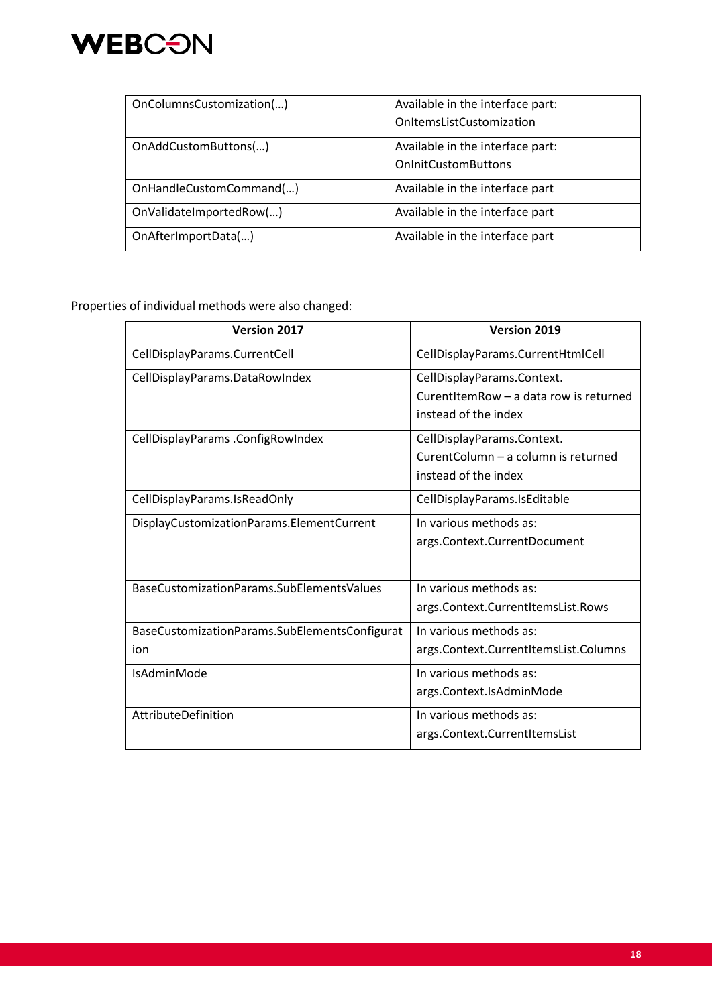

| OnColumnsCustomization() | Available in the interface part: |
|--------------------------|----------------------------------|
|                          | OnItemsListCustomization         |
| OnAddCustomButtons()     | Available in the interface part: |
|                          | <b>OnInitCustomButtons</b>       |
| OnHandleCustomCommand()  | Available in the interface part  |
| OnValidateImportedRow()  | Available in the interface part  |
| OnAfterImportData()      | Available in the interface part  |

Properties of individual methods were also changed:

| <b>Version 2017</b>                           | <b>Version 2019</b>                    |
|-----------------------------------------------|----------------------------------------|
| CellDisplayParams.CurrentCell                 | CellDisplayParams.CurrentHtmlCell      |
| CellDisplayParams.DataRowIndex                | CellDisplayParams.Context.             |
|                                               | CurentItemRow - a data row is returned |
|                                               | instead of the index                   |
| CellDisplayParams .ConfigRowIndex             | CellDisplayParams.Context.             |
|                                               | CurentColumn - a column is returned    |
|                                               | instead of the index                   |
| CellDisplayParams.IsReadOnly                  | CellDisplayParams.IsEditable           |
| DisplayCustomizationParams.ElementCurrent     | In various methods as:                 |
|                                               | args.Context.CurrentDocument           |
|                                               |                                        |
| BaseCustomizationParams.SubElementsValues     | In various methods as:                 |
|                                               | args.Context.CurrentItemsList.Rows     |
| BaseCustomizationParams.SubElementsConfigurat | In various methods as:                 |
| ion                                           | args.Context.CurrentItemsList.Columns  |
| IsAdminMode                                   | In various methods as:                 |
|                                               | args.Context.IsAdminMode               |
| AttributeDefinition                           | In various methods as:                 |
|                                               | args.Context.CurrentItemsList          |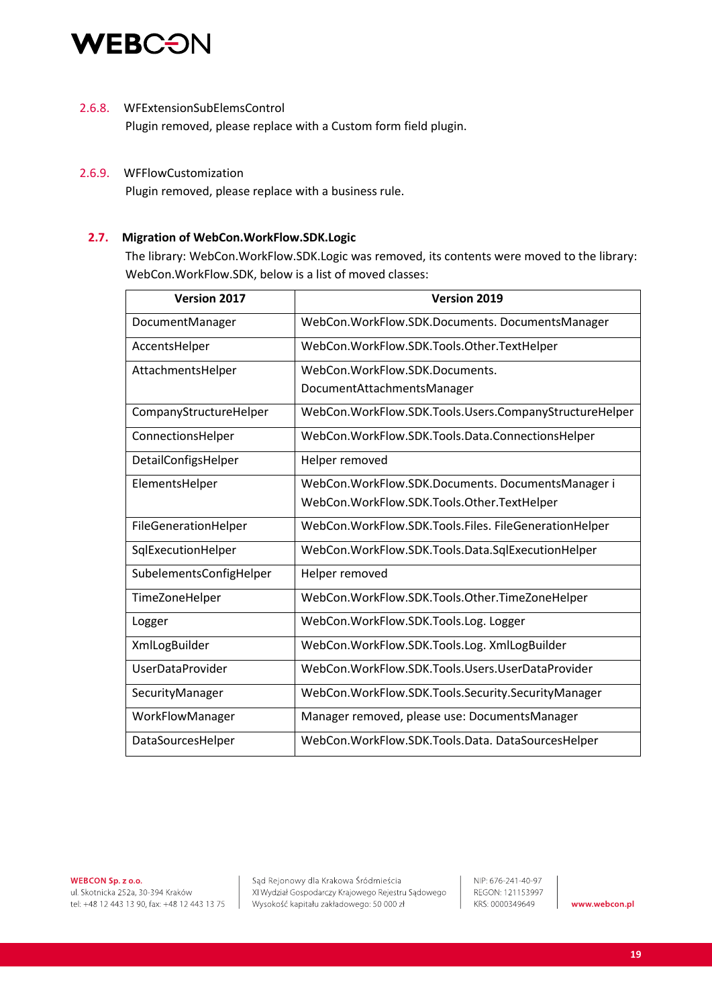

#### 2.6.8. WFExtensionSubElemsControl

Plugin removed, please replace with a Custom form field plugin.

#### 2.6.9. WFFlowCustomization

Plugin removed, please replace with a business rule.

#### **2.7. Migration of WebCon.WorkFlow.SDK.Logic**

The library: WebCon.WorkFlow.SDK.Logic was removed, its contents were moved to the library: WebCon.WorkFlow.SDK, below is a list of moved classes:

| <b>Version 2017</b>     | <b>Version 2019</b>                                    |
|-------------------------|--------------------------------------------------------|
| DocumentManager         | WebCon.WorkFlow.SDK.Documents. DocumentsManager        |
| AccentsHelper           | WebCon.WorkFlow.SDK.Tools.Other.TextHelper             |
| AttachmentsHelper       | WebCon.WorkFlow.SDK.Documents.                         |
|                         | DocumentAttachmentsManager                             |
| CompanyStructureHelper  | WebCon.WorkFlow.SDK.Tools.Users.CompanyStructureHelper |
| ConnectionsHelper       | WebCon.WorkFlow.SDK.Tools.Data.ConnectionsHelper       |
| DetailConfigsHelper     | Helper removed                                         |
| ElementsHelper          | WebCon.WorkFlow.SDK.Documents. DocumentsManager i      |
|                         | WebCon.WorkFlow.SDK.Tools.Other.TextHelper             |
| FileGenerationHelper    | WebCon.WorkFlow.SDK.Tools.Files. FileGenerationHelper  |
| SqlExecutionHelper      | WebCon.WorkFlow.SDK.Tools.Data.SqlExecutionHelper      |
| SubelementsConfigHelper | Helper removed                                         |
| TimeZoneHelper          | WebCon.WorkFlow.SDK.Tools.Other.TimeZoneHelper         |
| Logger                  | WebCon.WorkFlow.SDK.Tools.Log. Logger                  |
| XmlLogBuilder           | WebCon.WorkFlow.SDK.Tools.Log. XmlLogBuilder           |
| <b>UserDataProvider</b> | WebCon.WorkFlow.SDK.Tools.Users.UserDataProvider       |
| SecurityManager         | WebCon.WorkFlow.SDK.Tools.Security.SecurityManager     |
| WorkFlowManager         | Manager removed, please use: DocumentsManager          |
| DataSourcesHelper       | WebCon.WorkFlow.SDK.Tools.Data.DataSourcesHelper       |

WEBCON Sp. z o.o. ul. Skotnicka 252a, 30-394 Kraków tel: +48 12 443 13 90, fax: +48 12 443 13 75

Sąd Rejonowy dla Krakowa Śródmieścia XI Wydział Gospodarczy Krajowego Rejestru Sądowego Wysokość kapitału zakładowego: 50 000 zł

NIP: 676-241-40-97 REGON: 121153997 KRS: 0000349649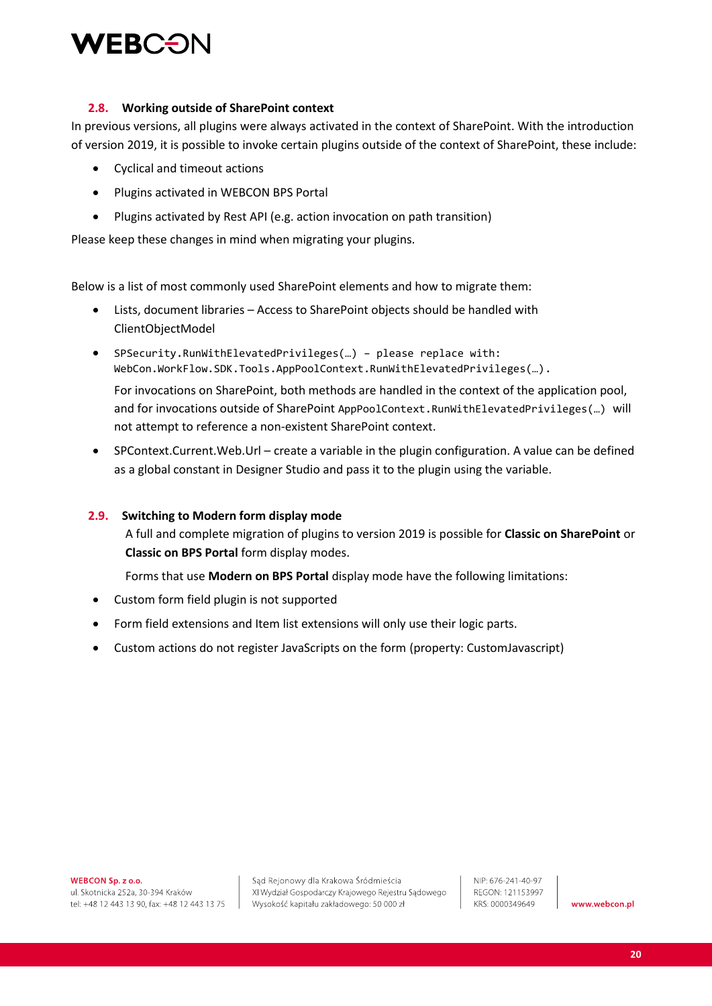

#### **2.8. Working outside of SharePoint context**

In previous versions, all plugins were always activated in the context of SharePoint. With the introduction of version 2019, it is possible to invoke certain plugins outside of the context of SharePoint, these include:

- Cyclical and timeout actions
- Plugins activated in WEBCON BPS Portal
- Plugins activated by Rest API (e.g. action invocation on path transition)

Please keep these changes in mind when migrating your plugins.

Below is a list of most commonly used SharePoint elements and how to migrate them:

- Lists, document libraries Access to SharePoint objects should be handled with ClientObjectModel
- SPSecurity.RunWithElevatedPrivileges(…) please replace with: WebCon.WorkFlow.SDK.Tools.AppPoolContext.RunWithElevatedPrivileges(…). For invocations on SharePoint, both methods are handled in the context of the application pool, and for invocations outside of SharePoint AppPoolContext.RunWithElevatedPrivileges(…) will not attempt to reference a non-existent SharePoint context.
- SPContext.Current.Web.Url create a variable in the plugin configuration. A value can be defined as a global constant in Designer Studio and pass it to the plugin using the variable.

#### **2.9. Switching to Modern form display mode**

A full and complete migration of plugins to version 2019 is possible for **Classic on SharePoint** or **Classic on BPS Portal** form display modes.

Forms that use **Modern on BPS Portal** display mode have the following limitations:

- Custom form field plugin is not supported
- Form field extensions and Item list extensions will only use their logic parts.
- Custom actions do not register JavaScripts on the form (property: CustomJavascript)

WEBCON Sp. z o.o.

ul. Skotnicka 252a, 30-394 Kraków tel: +48 12 443 13 90, fax: +48 12 443 13 75

Sąd Rejonowy dla Krakowa Śródmieścia XI Wydział Gospodarczy Krajowego Rejestru Sądowego Wysokość kapitału zakładowego: 50 000 zł

NIP: 676-241-40-97 REGON: 121153997 KRS: 0000349649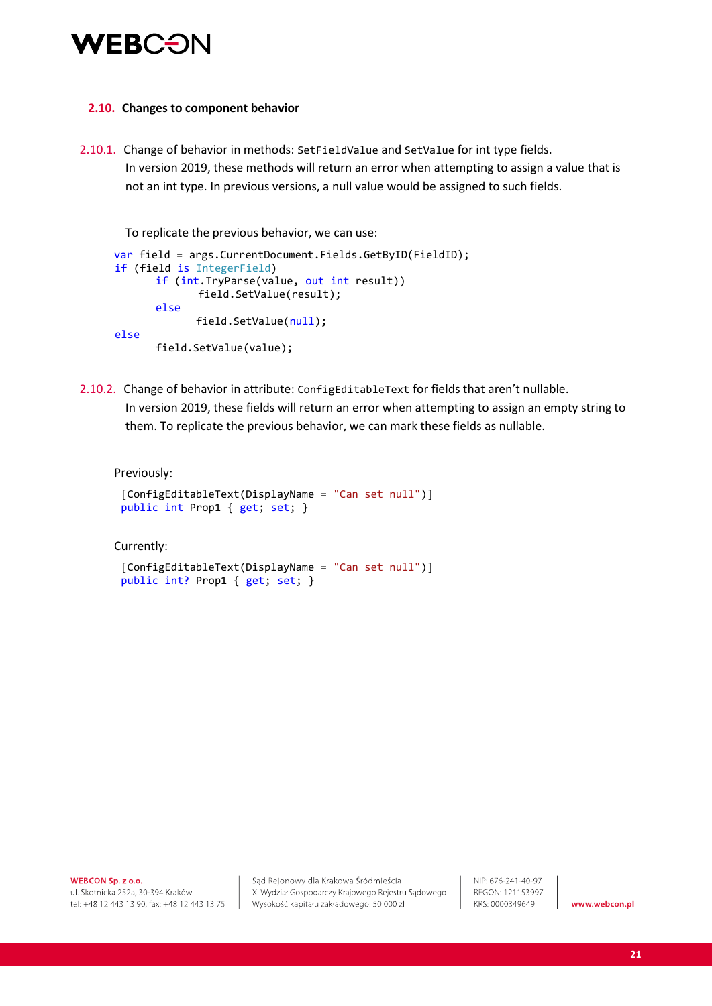

#### **2.10. Changes to component behavior**

2.10.1. Change of behavior in methods: SetFieldValue and SetValue for int type fields. In version 2019, these methods will return an error when attempting to assign a value that is not an int type. In previous versions, a null value would be assigned to such fields.

To replicate the previous behavior, we can use:

```
var field = args.CurrentDocument.Fields.GetByID(FieldID);
 if (field is IntegerField)
       if (int.TryParse(value, out int result))
               field.SetValue(result);
       else
              field.SetValue(null);
 else
      field.SetValue(value);
```
2.10.2. Change of behavior in attribute: ConfigEditableText for fields that aren't nullable. In version 2019, these fields will return an error when attempting to assign an empty string to them. To replicate the previous behavior, we can mark these fields as nullable.

Previously:

```
 [ConfigEditableText(DisplayName = "Can set null")]
 public int Prop1 { get; set; }
```
Currently:

```
 [ConfigEditableText(DisplayName = "Can set null")]
 public int? Prop1 { get; set; }
```
WEBCON Sp. z o.o.

ul. Skotnicka 252a, 30-394 Kraków tel: +48 12 443 13 90, fax: +48 12 443 13 75

Sąd Rejonowy dla Krakowa Śródmieścia XI Wydział Gospodarczy Krajowego Rejestru Sądowego Wysokość kapitału zakładowego: 50 000 zł

NIP: 676-241-40-97 REGON: 121153997 KRS: 0000349649